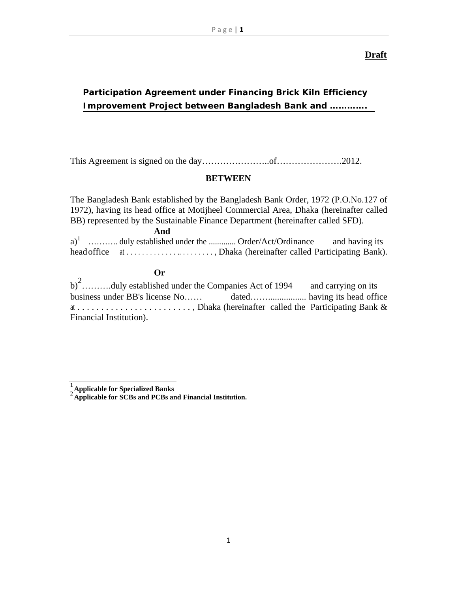## **Draft**

# **Participation Agreement under Financing Brick Kiln Efficiency Improvement Project between Bangladesh Bank and ………….**

This Agreement is signed on the day………………………………………………………………2012.

## **BETWEEN**

| The Bangladesh Bank established by the Bangladesh Bank Order, 1972 (P.O.No.127 of     |
|---------------------------------------------------------------------------------------|
| 1972), having its head office at Motijheel Commercial Area, Dhaka (hereinafter called |
| BB) represented by the Sustainable Finance Department (hereinafter called SFD).       |
| And                                                                                   |
| $a)^1$ duly established under the  Order/Act/Ordinance and having its                 |
|                                                                                       |
|                                                                                       |
| $_{\rm Or}$                                                                           |
| $\ldots 2$                                                                            |

b)<sup>2</sup>.........duly established under the Companies Act of 1994 and carrying on its business under BB's license No…… dated……................. having its head office at . . . . . . . . . . . . . . . . . . . . . . . . , Dhaka (hereinafter called the Participating Bank & Financial Institution).

<sup>1</sup> **Applicable for Specialized Banks**  2 **Applicable for SCBs and PCBs and Financial Institution.**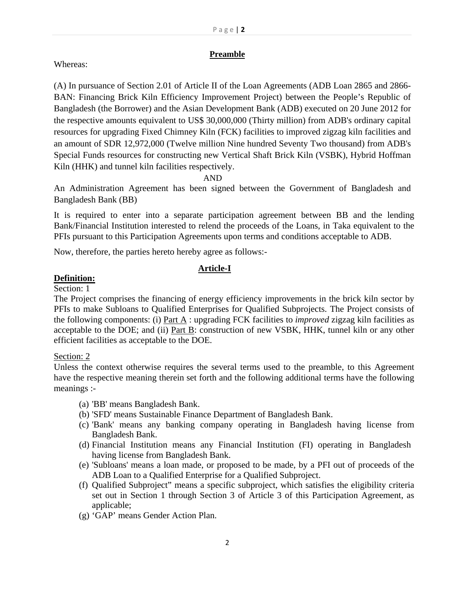### **Preamble**

## Whereas:

(A) In pursuance of Section 2.01 of Article II of the Loan Agreements (ADB Loan 2865 and 2866- BAN: Financing Brick Kiln Efficiency Improvement Project) between the People's Republic of Bangladesh (the Borrower) and the Asian Development Bank (ADB) executed on 20 June 2012 for the respective amounts equivalent to US\$ 30,000,000 (Thirty million) from ADB's ordinary capital resources for upgrading Fixed Chimney Kiln (FCK) facilities to improved zigzag kiln facilities and an amount of SDR 12,972,000 (Twelve million Nine hundred Seventy Two thousand) from ADB's Special Funds resources for constructing new Vertical Shaft Brick Kiln (VSBK), Hybrid Hoffman Kiln (HHK) and tunnel kiln facilities respectively.

AND

An Administration Agreement has been signed between the Government of Bangladesh and Bangladesh Bank (BB)

It is required to enter into a separate participation agreement between BB and the lending Bank/Financial Institution interested to relend the proceeds of the Loans, in Taka equivalent to the PFIs pursuant to this Participation Agreements upon terms and conditions acceptable to ADB.

Now, therefore, the parties hereto hereby agree as follows:-

## **Article-I**

## **Definition:**

### Section: 1

The Project comprises the financing of energy efficiency improvements in the brick kiln sector by PFIs to make Subloans to Qualified Enterprises for Qualified Subprojects. The Project consists of the following components: (i) Part A : upgrading FCK facilities to *improved* zigzag kiln facilities as acceptable to the DOE; and (ii) Part B: construction of new VSBK, HHK, tunnel kiln or any other efficient facilities as acceptable to the DOE.

### Section: 2

Unless the context otherwise requires the several terms used to the preamble, to this Agreement have the respective meaning therein set forth and the following additional terms have the following meanings :-

- (a) 'BB' means Bangladesh Bank.
- (b) 'SFD' means Sustainable Finance Department of Bangladesh Bank.
- (c) 'Bank' means any banking company operating in Bangladesh having license from Bangladesh Bank.
- (d) Financial Institution means any Financial Institution (FI) operating in Bangladesh having license from Bangladesh Bank.
- (e) 'Subloans' means a loan made, or proposed to be made, by a PFI out of proceeds of the ADB Loan to a Qualified Enterprise for a Qualified Subproject.
- (f) Qualified Subproject" means a specific subproject, which satisfies the eligibility criteria set out in Section 1 through Section 3 of Article 3 of this Participation Agreement, as applicable;
- (g) 'GAP' means Gender Action Plan.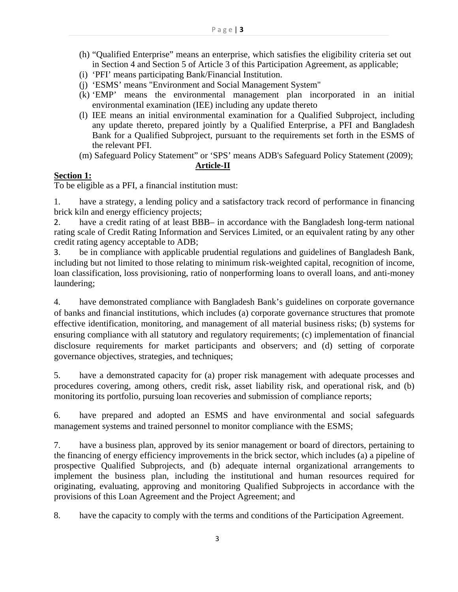- (h) "Qualified Enterprise" means an enterprise, which satisfies the eligibility criteria set out in Section 4 and Section 5 of Article 3 of this Participation Agreement, as applicable;
- (i) 'PFI' means participating Bank/Financial Institution.
- (j) 'ESMS' means "Environment and Social Management System"
- (k) 'EMP' means the environmental management plan incorporated in an initial environmental examination (IEE) including any update thereto
- (l) IEE means an initial environmental examination for a Qualified Subproject, including any update thereto, prepared jointly by a Qualified Enterprise, a PFI and Bangladesh Bank for a Qualified Subproject, pursuant to the requirements set forth in the ESMS of the relevant PFI.
- (m) Safeguard Policy Statement" or 'SPS' means ADB's Safeguard Policy Statement (2009); **Article-II**

## **Section 1:**

To be eligible as a PFI, a financial institution must:

1. have a strategy, a lending policy and a satisfactory track record of performance in financing brick kiln and energy efficiency projects;

2. have a credit rating of at least BBB– in accordance with the Bangladesh long-term national rating scale of Credit Rating Information and Services Limited, or an equivalent rating by any other credit rating agency acceptable to ADB;

3. be in compliance with applicable prudential regulations and guidelines of Bangladesh Bank, including but not limited to those relating to minimum risk-weighted capital, recognition of income, loan classification, loss provisioning, ratio of nonperforming loans to overall loans, and anti-money laundering;

4. have demonstrated compliance with Bangladesh Bank's guidelines on corporate governance of banks and financial institutions, which includes (a) corporate governance structures that promote effective identification, monitoring, and management of all material business risks; (b) systems for ensuring compliance with all statutory and regulatory requirements; (c) implementation of financial disclosure requirements for market participants and observers; and (d) setting of corporate governance objectives, strategies, and techniques;

5. have a demonstrated capacity for (a) proper risk management with adequate processes and procedures covering, among others, credit risk, asset liability risk, and operational risk, and (b) monitoring its portfolio, pursuing loan recoveries and submission of compliance reports;

6. have prepared and adopted an ESMS and have environmental and social safeguards management systems and trained personnel to monitor compliance with the ESMS;

7. have a business plan, approved by its senior management or board of directors, pertaining to the financing of energy efficiency improvements in the brick sector, which includes (a) a pipeline of prospective Qualified Subprojects, and (b) adequate internal organizational arrangements to implement the business plan, including the institutional and human resources required for originating, evaluating, approving and monitoring Qualified Subprojects in accordance with the provisions of this Loan Agreement and the Project Agreement; and

8. have the capacity to comply with the terms and conditions of the Participation Agreement.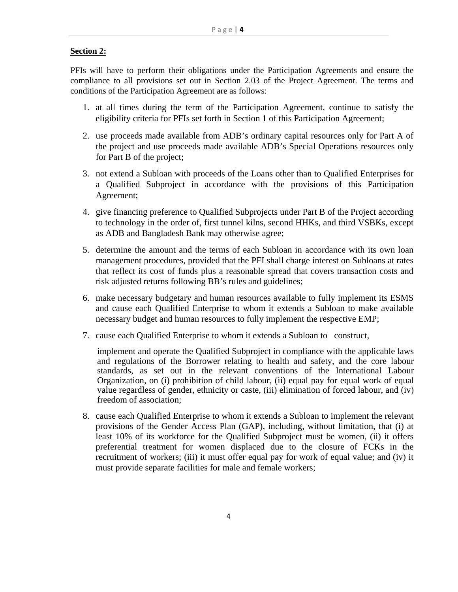### **Section 2:**

PFIs will have to perform their obligations under the Participation Agreements and ensure the compliance to all provisions set out in Section 2.03 of the Project Agreement. The terms and conditions of the Participation Agreement are as follows:

- 1. at all times during the term of the Participation Agreement, continue to satisfy the eligibility criteria for PFIs set forth in Section 1 of this Participation Agreement;
- 2. use proceeds made available from ADB's ordinary capital resources only for Part A of the project and use proceeds made available ADB's Special Operations resources only for Part B of the project;
- 3. not extend a Subloan with proceeds of the Loans other than to Qualified Enterprises for a Qualified Subproject in accordance with the provisions of this Participation Agreement;
- 4. give financing preference to Qualified Subprojects under Part B of the Project according to technology in the order of, first tunnel kilns, second HHKs, and third VSBKs, except as ADB and Bangladesh Bank may otherwise agree;
- 5. determine the amount and the terms of each Subloan in accordance with its own loan management procedures, provided that the PFI shall charge interest on Subloans at rates that reflect its cost of funds plus a reasonable spread that covers transaction costs and risk adjusted returns following BB's rules and guidelines;
- 6. make necessary budgetary and human resources available to fully implement its ESMS and cause each Qualified Enterprise to whom it extends a Subloan to make available necessary budget and human resources to fully implement the respective EMP;
- 7. cause each Qualified Enterprise to whom it extends a Subloan to construct,

implement and operate the Qualified Subproject in compliance with the applicable laws and regulations of the Borrower relating to health and safety, and the core labour standards, as set out in the relevant conventions of the International Labour Organization, on (i) prohibition of child labour, (ii) equal pay for equal work of equal value regardless of gender, ethnicity or caste, (iii) elimination of forced labour, and (iv) freedom of association;

8. cause each Qualified Enterprise to whom it extends a Subloan to implement the relevant provisions of the Gender Access Plan (GAP), including, without limitation, that (i) at least 10% of its workforce for the Qualified Subproject must be women, (ii) it offers preferential treatment for women displaced due to the closure of FCKs in the recruitment of workers; (iii) it must offer equal pay for work of equal value; and (iv) it must provide separate facilities for male and female workers;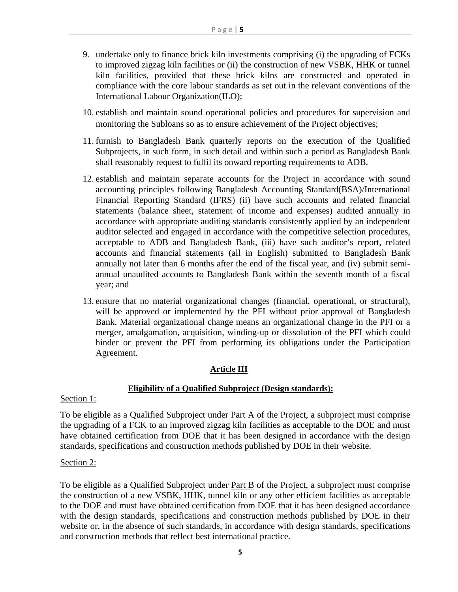- 9. undertake only to finance brick kiln investments comprising (i) the upgrading of FCKs to improved zigzag kiln facilities or (ii) the construction of new VSBK, HHK or tunnel kiln facilities, provided that these brick kilns are constructed and operated in compliance with the core labour standards as set out in the relevant conventions of the International Labour Organization(ILO);
- 10. establish and maintain sound operational policies and procedures for supervision and monitoring the Subloans so as to ensure achievement of the Project objectives;
- 11. furnish to Bangladesh Bank quarterly reports on the execution of the Qualified Subprojects, in such form, in such detail and within such a period as Bangladesh Bank shall reasonably request to fulfil its onward reporting requirements to ADB.
- 12. establish and maintain separate accounts for the Project in accordance with sound accounting principles following Bangladesh Accounting Standard(BSA)/International Financial Reporting Standard (IFRS) (ii) have such accounts and related financial statements (balance sheet, statement of income and expenses) audited annually in accordance with appropriate auditing standards consistently applied by an independent auditor selected and engaged in accordance with the competitive selection procedures, acceptable to ADB and Bangladesh Bank, (iii) have such auditor's report, related accounts and financial statements (all in English) submitted to Bangladesh Bank annually not later than 6 months after the end of the fiscal year, and (iv) submit semiannual unaudited accounts to Bangladesh Bank within the seventh month of a fiscal year; and
- 13. ensure that no material organizational changes (financial, operational, or structural), will be approved or implemented by the PFI without prior approval of Bangladesh Bank. Material organizational change means an organizational change in the PFI or a merger, amalgamation, acquisition, winding-up or dissolution of the PFI which could hinder or prevent the PFI from performing its obligations under the Participation Agreement.

## **Article III**

### **Eligibility of a Qualified Subproject (Design standards):**

#### Section 1:

To be eligible as a Qualified Subproject under  $Part A$  of the Project, a subproject must comprise the upgrading of a FCK to an improved zigzag kiln facilities as acceptable to the DOE and must have obtained certification from DOE that it has been designed in accordance with the design standards, specifications and construction methods published by DOE in their website.

### Section 2:

To be eligible as a Qualified Subproject under Part B of the Project, a subproject must comprise the construction of a new VSBK, HHK, tunnel kiln or any other efficient facilities as acceptable to the DOE and must have obtained certification from DOE that it has been designed accordance with the design standards, specifications and construction methods published by DOE in their website or, in the absence of such standards, in accordance with design standards, specifications and construction methods that reflect best international practice.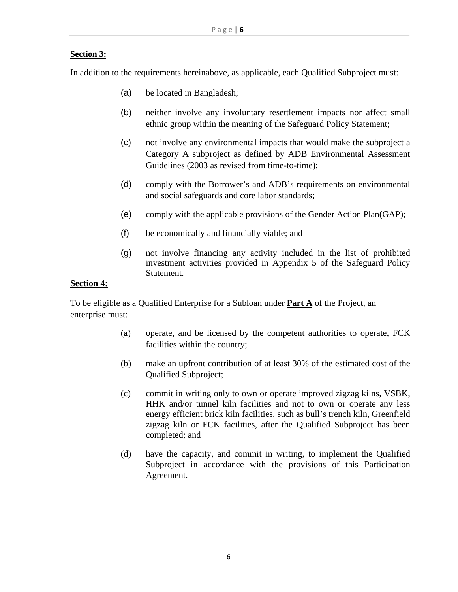## **Section 3:**

In addition to the requirements hereinabove, as applicable, each Qualified Subproject must:

- (a) be located in Bangladesh;
- (b) neither involve any involuntary resettlement impacts nor affect small ethnic group within the meaning of the Safeguard Policy Statement;
- (c) not involve any environmental impacts that would make the subproject a Category A subproject as defined by ADB Environmental Assessment Guidelines (2003 as revised from time-to-time);
- (d) comply with the Borrower's and ADB's requirements on environmental and social safeguards and core labor standards;
- (e) comply with the applicable provisions of the Gender Action Plan(GAP);
- (f) be economically and financially viable; and
- (g) not involve financing any activity included in the list of prohibited investment activities provided in Appendix 5 of the Safeguard Policy Statement.

## **Section 4:**

To be eligible as a Qualified Enterprise for a Subloan under **Part A** of the Project, an enterprise must:

- (a) operate, and be licensed by the competent authorities to operate, FCK facilities within the country;
- (b) make an upfront contribution of at least 30% of the estimated cost of the Qualified Subproject;
- (c) commit in writing only to own or operate improved zigzag kilns, VSBK, HHK and/or tunnel kiln facilities and not to own or operate any less energy efficient brick kiln facilities, such as bull's trench kiln, Greenfield zigzag kiln or FCK facilities, after the Qualified Subproject has been completed; and
- (d) have the capacity, and commit in writing, to implement the Qualified Subproject in accordance with the provisions of this Participation Agreement.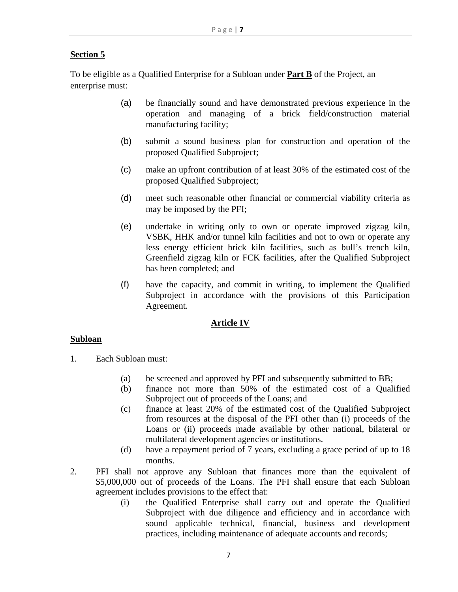## **Section 5**

To be eligible as a Qualified Enterprise for a Subloan under **Part B** of the Project, an enterprise must:

- (a) be financially sound and have demonstrated previous experience in the operation and managing of a brick field/construction material manufacturing facility;
- (b) submit a sound business plan for construction and operation of the proposed Qualified Subproject;
- (c) make an upfront contribution of at least 30% of the estimated cost of the proposed Qualified Subproject;
- (d) meet such reasonable other financial or commercial viability criteria as may be imposed by the PFI;
- (e) undertake in writing only to own or operate improved zigzag kiln, VSBK, HHK and/or tunnel kiln facilities and not to own or operate any less energy efficient brick kiln facilities, such as bull's trench kiln, Greenfield zigzag kiln or FCK facilities, after the Qualified Subproject has been completed; and
- (f) have the capacity, and commit in writing, to implement the Qualified Subproject in accordance with the provisions of this Participation Agreement.

# **Article IV**

## **Subloan**

- 1. Each Subloan must:
	- (a) be screened and approved by PFI and subsequently submitted to BB;
	- (b) finance not more than 50% of the estimated cost of a Qualified Subproject out of proceeds of the Loans; and
	- (c) finance at least 20% of the estimated cost of the Qualified Subproject from resources at the disposal of the PFI other than (i) proceeds of the Loans or (ii) proceeds made available by other national, bilateral or multilateral development agencies or institutions.
	- (d) have a repayment period of 7 years, excluding a grace period of up to 18 months.
- 2. PFI shall not approve any Subloan that finances more than the equivalent of \$5,000,000 out of proceeds of the Loans. The PFI shall ensure that each Subloan agreement includes provisions to the effect that:
	- (i) the Qualified Enterprise shall carry out and operate the Qualified Subproject with due diligence and efficiency and in accordance with sound applicable technical, financial, business and development practices, including maintenance of adequate accounts and records;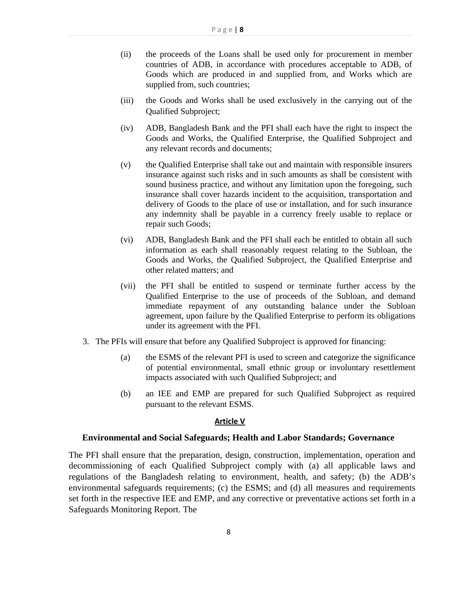- (ii) the proceeds of the Loans shall be used only for procurement in member countries of ADB, in accordance with procedures acceptable to ADB, of Goods which are produced in and supplied from, and Works which are supplied from, such countries;
- (iii) the Goods and Works shall be used exclusively in the carrying out of the Qualified Subproject;
- (iv) ADB, Bangladesh Bank and the PFI shall each have the right to inspect the Goods and Works, the Qualified Enterprise, the Qualified Subproject and any relevant records and documents;
- (v) the Qualified Enterprise shall take out and maintain with responsible insurers insurance against such risks and in such amounts as shall be consistent with sound business practice, and without any limitation upon the foregoing, such insurance shall cover hazards incident to the acquisition, transportation and delivery of Goods to the place of use or installation, and for such insurance any indemnity shall be payable in a currency freely usable to replace or repair such Goods;
- (vi) ADB, Bangladesh Bank and the PFI shall each be entitled to obtain all such information as each shall reasonably request relating to the Subloan, the Goods and Works, the Qualified Subproject, the Qualified Enterprise and other related matters; and
- (vii) the PFI shall be entitled to suspend or terminate further access by the Qualified Enterprise to the use of proceeds of the Subloan, and demand immediate repayment of any outstanding balance under the Subloan agreement, upon failure by the Qualified Enterprise to perform its obligations under its agreement with the PFI.
- 3. The PFIs will ensure that before any Qualified Subproject is approved for financing:
	- (a) the ESMS of the relevant PFI is used to screen and categorize the significance of potential environmental, small ethnic group or involuntary resettlement impacts associated with such Qualified Subproject; and
	- (b) an IEE and EMP are prepared for such Qualified Subproject as required pursuant to the relevant ESMS.

#### **Article V**

#### **Environmental and Social Safeguards; Health and Labor Standards; Governance**

The PFI shall ensure that the preparation, design, construction, implementation, operation and decommissioning of each Qualified Subproject comply with (a) all applicable laws and regulations of the Bangladesh relating to environment, health, and safety; (b) the ADB's environmental safeguards requirements; (c) the ESMS; and (d) all measures and requirements set forth in the respective IEE and EMP, and any corrective or preventative actions set forth in a Safeguards Monitoring Report. The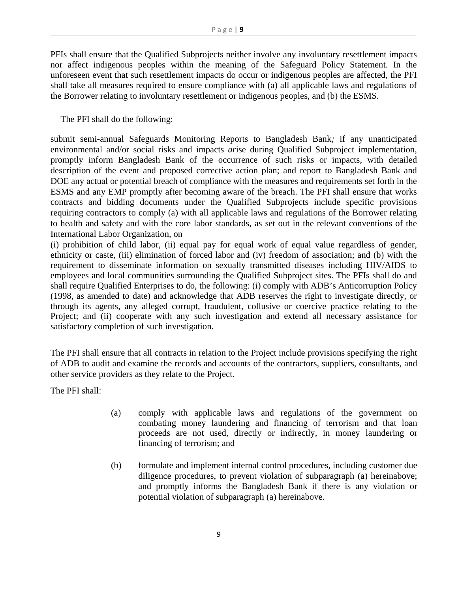PFIs shall ensure that the Qualified Subprojects neither involve any involuntary resettlement impacts nor affect indigenous peoples within the meaning of the Safeguard Policy Statement. In the unforeseen event that such resettlement impacts do occur or indigenous peoples are affected, the PFI shall take all measures required to ensure compliance with (a) all applicable laws and regulations of the Borrower relating to involuntary resettlement or indigenous peoples, and (b) the ESMS.

The PFI shall do the following:

submit semi-annual Safeguards Monitoring Reports to Bangladesh Bank*;* if any unanticipated environmental and/or social risks and impacts *ar*ise during Qualified Subproject implementation, promptly inform Bangladesh Bank of the occurrence of such risks or impacts, with detailed description of the event and proposed corrective action plan; and report to Bangladesh Bank and DOE any actual or potential breach of *c*ompliance with the measures and requirements set forth in the ESMS and any EMP promptly after becoming aware of the breach. The PFI shall ensure that works contracts and bidding documents under the Qualified Subprojects include specific provisions requiring contractors to comply (a) with all applicable laws and regulations of the Borrower relating to health and safety and with the core labor standards, as set out in the relevant conventions of the International Labor Organization, on

(i) prohibition of child labor, (ii) equal pay for equal work of equal value regardless of gender, ethnicity or caste, (iii) elimination of forced labor and (iv) freedom of association; and (b) with the requirement to disseminate information on sexually transmitted diseases including HIV/AIDS to employees and local communities surrounding the Qualified Subproject sites. The PFIs shall do and shall require Qualified Enterprises to do, the following: (i) comply with ADB's Anticorruption Policy (1998, as amended to date) and acknowledge that ADB reserves the right to investigate directly, or through its agents, any alleged corrupt, fraudulent, collusive or coercive practice relating to the Project; and (ii) cooperate with any such investigation and extend all necessary assistance for satisfactory completion of such investigation.

The PFI shall ensure that all contracts in relation to the Project include provisions specifying the right of ADB to audit and examine the records and accounts of the contractors, suppliers, consultants, and other service providers as they relate to the Project.

The PFI shall:

- (a) comply with applicable laws and regulations of the government on combating money laundering and financing of terrorism and that loan proceeds are not used, directly or indirectly, in money laundering or financing of terrorism; and
- (b) formulate and implement internal control procedures, including customer due diligence procedures, to prevent violation of subparagraph (a) hereinabove; and promptly informs the Bangladesh Bank if there is any violation or potential violation of subparagraph (a) hereinabove.